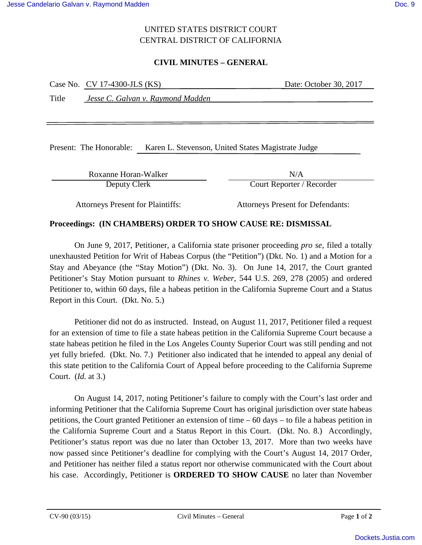# UNITED STATES DISTRICT COURT CENTRAL DISTRICT OF CALIFORNIA

# **CIVIL MINUTES – GENERAL**

|       | Case No. CV 17-4300-JLS (KS)      | Date: October 30, 2017 |
|-------|-----------------------------------|------------------------|
| Title | Jesse C. Galvan v. Raymond Madden |                        |
|       |                                   |                        |
|       |                                   |                        |
|       |                                   |                        |

Present: The Honorable: Karen L. Stevenson, United States Magistrate Judge

Roxanne Horan-Walker N/A

Deputy Clerk Court Reporter / Recorder

Attorneys Present for Plaintiffs: Attorneys Present for Defendants:

### **Proceedings: (IN CHAMBERS) ORDER TO SHOW CAUSE RE: DISMISSAL**

On June 9, 2017, Petitioner, a California state prisoner proceeding *pro se*, filed a totally unexhausted Petition for Writ of Habeas Corpus (the "Petition") (Dkt. No. 1) and a Motion for a Stay and Abeyance (the "Stay Motion") (Dkt. No. 3). On June 14, 2017, the Court granted Petitioner's Stay Motion pursuant to *Rhines v. Weber*, 544 U.S. 269, 278 (2005) and ordered Petitioner to, within 60 days, file a habeas petition in the California Supreme Court and a Status Report in this Court. (Dkt. No. 5.)

Petitioner did not do as instructed. Instead, on August 11, 2017, Petitioner filed a request for an extension of time to file a state habeas petition in the California Supreme Court because a state habeas petition he filed in the Los Angeles County Superior Court was still pending and not yet fully briefed. (Dkt. No. 7.) Petitioner also indicated that he intended to appeal any denial of this state petition to the California Court of Appeal before proceeding to the California Supreme Court. (*Id.* at 3.)

On August 14, 2017, noting Petitioner's failure to comply with the Court's last order and informing Petitioner that the California Supreme Court has original jurisdiction over state habeas petitions, the Court granted Petitioner an extension of time – 60 days – to file a habeas petition in the California Supreme Court and a Status Report in this Court. (Dkt. No. 8.) Accordingly, Petitioner's status report was due no later than October 13, 2017. More than two weeks have now passed since Petitioner's deadline for complying with the Court's August 14, 2017 Order, and Petitioner has neither filed a status report nor otherwise communicated with the Court about his case. Accordingly, Petitioner is **ORDERED TO SHOW CAUSE** no later than November